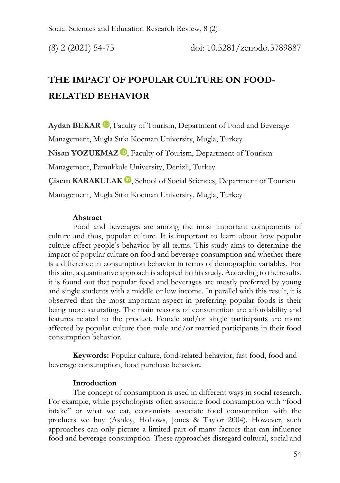# **THE IMPACT OF POPULAR CULTURE ON FOOD-RELATED BEHAVIOR**

Aydan BEKAR<sup>D</sup>[,](https://orcid.org/0000-0001-5309-1389) Faculty of Tourism, Department of Food and Beverage Management, Mugla Sıtkı Koçman University, Mugla, Turkey Nisan YOZUKMAZ<sup>D</sup>, Faculty of Tourism, Department of Tourism Management, Pamukkale University, Denizli, Turkey **Çisem KARAKULAK D**[,](https://orcid.org/0000-0001-7880-9027) School of Social Sciences, Department of Tourism Management, Mugla Sıtkı Kocman University, Mugla, Turkey

### **Abstract**

Food and beverages are among the most important components of culture and thus, popular culture. It is important to learn about how popular culture affect people's behavior by all terms. This study aims to determine the impact of popular culture on food and beverage consumption and whether there is a difference in consumption behavior in terms of demographic variables. For this aim, a quantitative approach is adopted in this study. According to the results, it is found out that popular food and beverages are mostly preferred by young and single students with a middle or low income. In parallel with this result, it is observed that the most important aspect in preferring popular foods is their being more saturating. The main reasons of consumption are affordability and features related to the product. Female and/or single participants are more affected by popular culture then male and/or married participants in their food consumption behavior.

**Keywords:** Popular culture, food-related behavior, fast food, food and beverage consumption, food purchase behavior**.** 

## **Introduction**

The concept of consumption is used in different ways in social research. For example, while psychologists often associate food consumption with "food intake" or what we eat, economists associate food consumption with the products we buy (Ashley, Hollows, Jones & Taylor 2004). However, such approaches can only picture a limited part of many factors that can influence food and beverage consumption. These approaches disregard cultural, social and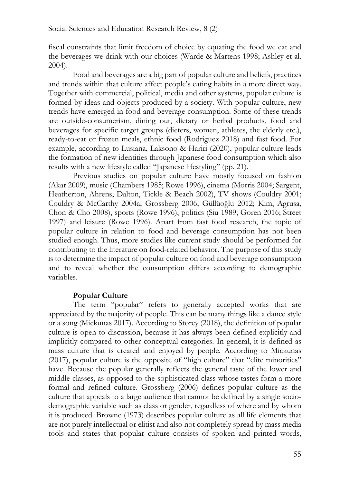fiscal constraints that limit freedom of choice by equating the food we eat and the beverages we drink with our choices (Warde & Martens 1998; Ashley et al. 2004).

Food and beverages are a big part of popular culture and beliefs, practices and trends within that culture affect people's eating habits in a more direct way. Together with commercial, political, media and other systems, popular culture is formed by ideas and objects produced by a society. With popular culture, new trends have emerged in food and beverage consumption. Some of these trends are outside-consumerism, dining out, dietary or herbal products, food and beverages for specific target groups (dieters, women, athletes, the elderly etc.), ready-to-eat or frozen meals, ethnic food (Rodriguez 2018) and fast food. For example, according to Lusiana, Laksono & Hariri (2020), popular culture leads the formation of new identities through Japanese food consumption which also results with a new lifestyle called "Japanese lifestyling" (pp. 21).

Previous studies on popular culture have mostly focused on fashion (Akar 2009), music (Chambers 1985; Rowe 1996), cinema (Morris 2004; Sargent, Heatherton, Ahrens, Dalton, Tickle & Beach 2002), TV shows (Couldry 2001; Couldry & McCarthy 2004a; Grossberg 2006; Güllüoğlu 2012; Kim, Agrusa, Chon & Cho 2008), sports (Rowe 1996), politics (Siu 1989; Goren 2016; Street 1997) and leisure (Rowe 1996). Apart from fast food research, the topic of popular culture in relation to food and beverage consumption has not been studied enough. Thus, more studies like current study should be performed for contributing to the literature on food-related behavior. The purpose of this study is to determine the impact of popular culture on food and beverage consumption and to reveal whether the consumption differs according to demographic variables.

## **Popular Culture**

The term "popular" refers to generally accepted works that are appreciated by the majority of people. This can be many things like a dance style or a song (Mickunas 2017). According to Storey (2018), the definition of popular culture is open to discussion, because it has always been defined explicitly and implicitly compared to other conceptual categories. In general, it is defined as mass culture that is created and enjoyed by people. According to Mickunas (2017), popular culture is the opposite of "high culture" that "elite minorities" have. Because the popular generally reflects the general taste of the lower and middle classes, as opposed to the sophisticated class whose tastes form a more formal and refined culture. Grossberg (2006) defines popular culture as the culture that appeals to a large audience that cannot be defined by a single sociodemographic variable such as class or gender, regardless of where and by whom it is produced. Browne (1973) describes popular culture as all life elements that are not purely intellectual or elitist and also not completely spread by mass media tools and states that popular culture consists of spoken and printed words,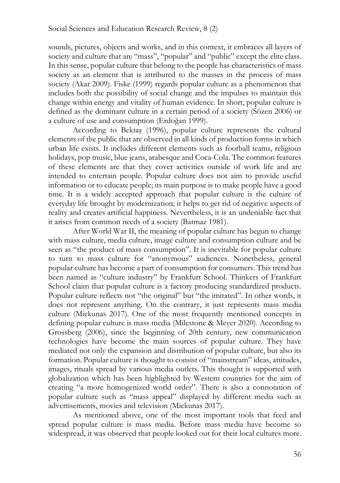sounds, pictures, objects and works, and in this context, it embraces all layers of society and culture that are "mass", "popular" and "public" except the elite class. In this sense, popular culture that belong to the people has characteristics of mass society as an element that is attributed to the masses in the process of mass society (Akar 2009). Fiske (1999) regards popular culture as a phenomenon that includes both the possibility of social change and the impulses to maintain this change within energy and vitality of human evidence. In short, popular culture is defined as the dominant culture in a certain period of a society (Sözen 2006) or a culture of use and consumption (Erdoğan 1999).

According to Bektaş (1996), popular culture represents the cultural elements of the public that are observed in all kinds of production forms in which urban life exists. It includes different elements such as football teams, religious holidays, pop music, blue jeans, arabesque and Coca-Cola. The common features of these elements are that they cover activities outside of work life and are intended to entertain people. Popular culture does not aim to provide useful information or to educate people; its main purpose is to make people have a good time. It is a widely accepted approach that popular culture is the culture of everyday life brought by modernization; it helps to get rid of negative aspects of reality and creates artificial happiness. Nevertheless, it is an undeniable fact that it arises from common needs of a society (Batmaz 1981).

After World War II, the meaning of popular culture has begun to change with mass culture, media culture, image culture and consumption culture and be seen as "the product of mass consumption". It is inevitable for popular culture to turn to mass culture for "anonymous" audiences. Nonetheless, general popular culture has become a part of consumption for consumers. This trend has been named as "culture industry" by Frankfurt School. Thinkers of Frankfurt School claim that popular culture is a factory producing standardized products. Popular culture reflects not "the original" but "the imitated". In other words, it does not represent anything. On the contrary, it just represents mass media culture (Mickunas 2017). One of the most frequently mentioned concepts in defining popular culture is mass media (Milestone & Meyer 2020). According to Grossberg (2006), since the beginning of 20th century, new communication technologies have become the main sources of popular culture. They have mediated not only the expansion and distribution of popular culture, but also its formation. Popular culture is thought to consist of "mainstream" ideas, attitudes, images, rituals spread by various media outlets. This thought is supported with globalization which has been highlighted by Western countries for the aim of creating "a more homogenized world order". There is also a connotation of popular culture such as "mass appeal" displayed by different media such as advertisements, movies and television (Mickunas 2017).

As mentioned above, one of the most important tools that feed and spread popular culture is mass media. Before mass media have become so widespread, it was observed that people looked out for their local cultures more.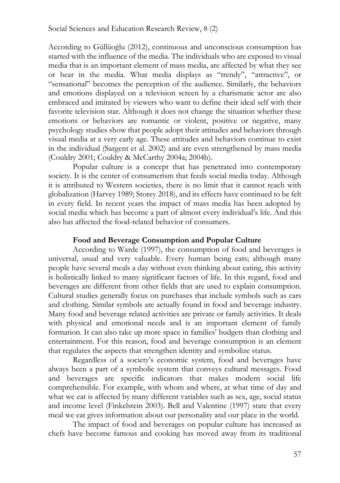According to Güllüoğlu (2012), continuous and unconscious consumption has started with the influence of the media. The individuals who are exposed to visual media that is an important element of mass media, are affected by what they see or hear in the media. What media displays as "trendy", "attractive", or "sensational" becomes the perception of the audience. Similarly, the behaviors and emotions displayed on a television screen by a charismatic actor are also embraced and imitated by viewers who want to define their ideal self with their favorite television star. Although it does not change the situation whether these emotions or behaviors are romantic or violent, positive or negative, many psychology studies show that people adopt their attitudes and behaviors through visual media at a very early age. These attitudes and behaviors continue to exist in the individual (Sargent et al. 2002) and are even strengthened by mass media (Couldry 2001; Couldry & McCarthy 2004a; 2004b).

Popular culture is a concept that has penetrated into contemporary society. It is the center of consumerism that feeds social media today. Although it is attributed to Western societies, there is no limit that it cannot reach with globalization (Harvey 1989; Storey 2018), and its effects have continued to be felt in every field. In recent years the impact of mass media has been adopted by social media which has become a part of almost every individual's life. And this also has affected the food-related behavior of consumers.

## **Food and Beverage Consumption and Popular Culture**

According to Warde (1997), the consumption of food and beverages is universal, usual and very valuable. Every human being eats; although many people have several meals a day without even thinking about eating, this activity is holistically linked to many significant factors of life. In this regard, food and beverages are different from other fields that are used to explain consumption. Cultural studies generally focus on purchases that include symbols such as cars and clothing. Similar symbols are actually found in food and beverage industry. Many food and beverage related activities are private or family activities. It deals with physical and emotional needs and is an important element of family formation. It can also take up more space in families' budgets than clothing and entertainment. For this reason, food and beverage consumption is an element that regulates the aspects that strengthen identity and symbolize status.

Regardless of a society's economic system, food and beverages have always been a part of a symbolic system that conveys cultural messages. Food and beverages are specific indicators that makes modern social life comprehensible. For example, with whom and where, at what time of day and what we eat is affected by many different variables such as sex, age, social status and income level (Finkelstein 2003). Bell and Valentine (1997) state that every meal we eat gives information about our personality and our place in the world.

The impact of food and beverages on popular culture has increased as chefs have become famous and cooking has moved away from its traditional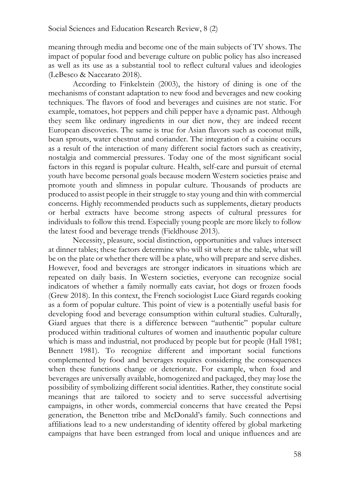meaning through media and become one of the main subjects of TV shows. The impact of popular food and beverage culture on public policy has also increased as well as its use as a substantial tool to reflect cultural values and ideologies (LeBesco & Naccarato 2018).

According to Finkelstein (2003), the history of dining is one of the mechanisms of constant adaptation to new food and beverages and new cooking techniques. The flavors of food and beverages and cuisines are not static. For example, tomatoes, hot peppers and chili pepper have a dynamic past. Although they seem like ordinary ingredients in our diet now, they are indeed recent European discoveries. The same is true for Asian flavors such as coconut milk, bean sprouts, water chestnut and coriander. The integration of a cuisine occurs as a result of the interaction of many different social factors such as creativity, nostalgia and commercial pressures. Today one of the most significant social factors in this regard is popular culture. Health, self-care and pursuit of eternal youth have become personal goals because modern Western societies praise and promote youth and slimness in popular culture. Thousands of products are produced to assist people in their struggle to stay young and thin with commercial concerns. Highly recommended products such as supplements, dietary products or herbal extracts have become strong aspects of cultural pressures for individuals to follow this trend. Especially young people are more likely to follow the latest food and beverage trends (Fieldhouse 2013).

Necessity, pleasure, social distinction, opportunities and values intersect at dinner tables; these factors determine who will sit where at the table, what will be on the plate or whether there will be a plate, who will prepare and serve dishes. However, food and beverages are stronger indicators in situations which are repeated on daily basis. In Western societies, everyone can recognize social indicators of whether a family normally eats caviar, hot dogs or frozen foods (Grew 2018). In this context, the French sociologist Luce Giard regards cooking as a form of popular culture. This point of view is a potentially useful basis for developing food and beverage consumption within cultural studies. Culturally, Giard argues that there is a difference between "authentic" popular culture produced within traditional cultures of women and inauthentic popular culture which is mass and industrial, not produced by people but for people (Hall 1981; Bennett 1981). To recognize different and important social functions complemented by food and beverages requires considering the consequences when these functions change or deteriorate. For example, when food and beverages are universally available, homogenized and packaged, they may lose the possibility of symbolizing different social identities. Rather, they constitute social meanings that are tailored to society and to serve successful advertising campaigns, in other words, commercial concerns that have created the Pepsi generation, the Benetton tribe and McDonald's family. Such connections and affiliations lead to a new understanding of identity offered by global marketing campaigns that have been estranged from local and unique influences and are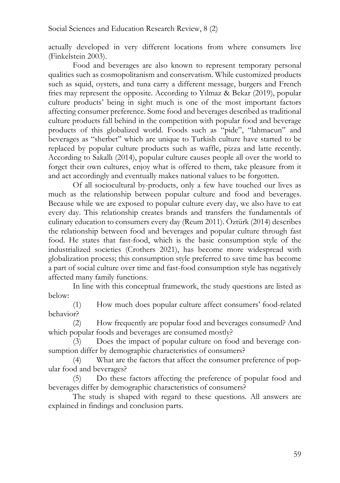actually developed in very different locations from where consumers live (Finkelstein 2003).

Food and beverages are also known to represent temporary personal qualities such as cosmopolitanism and conservatism. While customized products such as squid, oysters, and tuna carry a different message, burgers and French fries may represent the opposite. According to Yılmaz & Bekar (2019), popular culture products' being in sight much is one of the most important factors affecting consumer preference. Some food and beverages described as traditional culture products fall behind in the competition with popular food and beverage products of this globalized world. Foods such as "pide", "lahmacun" and beverages as "sherbet" which are unique to Turkish culture have started to be replaced by popular culture products such as waffle, pizza and latte recently. According to Sakallı (2014), popular culture causes people all over the world to forget their own cultures, enjoy what is offered to them, take pleasure from it and act accordingly and eventually makes national values to be forgotten.

Of all sociocultural by-products, only a few have touched our lives as much as the relationship between popular culture and food and beverages. Because while we are exposed to popular culture every day, we also have to eat every day. This relationship creates brands and transfers the fundamentals of culinary education to consumers every day (Reum 2011). Öztürk (2014) describes the relationship between food and beverages and popular culture through fast food. He states that fast-food, which is the basic consumption style of the industrialized societies (Crothers 2021), has become more widespread with globalization process; this consumption style preferred to save time has become a part of social culture over time and fast-food consumption style has negatively affected many family functions.

In line with this conceptual framework, the study questions are listed as below:

(1) How much does popular culture affect consumers' food-related behavior?

(2) How frequently are popular food and beverages consumed? And which popular foods and beverages are consumed mostly?

(3) Does the impact of popular culture on food and beverage consumption differ by demographic characteristics of consumers?

(4) What are the factors that affect the consumer preference of popular food and beverages?

(5) Do these factors affecting the preference of popular food and beverages differ by demographic characteristics of consumers?

The study is shaped with regard to these questions. All answers are explained in findings and conclusion parts.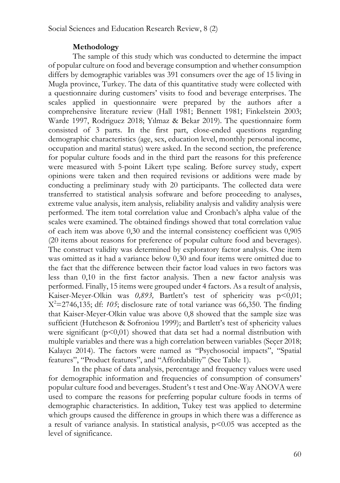## **Methodology**

The sample of this study which was conducted to determine the impact of popular culture on food and beverage consumption and whether consumption differs by demographic variables was 391 consumers over the age of 15 living in Mugla province, Turkey. The data of this quantitative study were collected with a questionnaire during customers' visits to food and beverage enterprises. The scales applied in questionnaire were prepared by the authors after a comprehensive literature review (Hall 1981; Bennett 1981; Finkelstein 2003; Warde 1997, Rodriguez 2018; Yılmaz & Bekar 2019). The questionnaire form consisted of 3 parts. In the first part, close-ended questions regarding demographic characteristics (age, sex, education level, monthly personal income, occupation and marital status) were asked. In the second section, the preference for popular culture foods and in the third part the reasons for this preference were measured with 5-point Likert type scaling. Before survey study, expert opinions were taken and then required revisions or additions were made by conducting a preliminary study with 20 participants. The collected data were transferred to statistical analysis software and before proceeding to analyses, extreme value analysis, item analysis, reliability analysis and validity analysis were performed. The item total correlation value and Cronbach's alpha value of the scales were examined. The obtained findings showed that total correlation value of each item was above 0,30 and the internal consistency coefficient was 0,905 (20 items about reasons for preference of popular culture food and beverages). The construct validity was determined by exploratory factor analysis. One item was omitted as it had a variance below 0,30 and four items were omitted due to the fact that the difference between their factor load values in two factors was less than 0,10 in the first factor analysis. Then a new factor analysis was performed. Finally, 15 items were grouped under 4 factors. As a result of analysis, Kaiser-Meyer-Olkin was 0,893, Bartlett's test of sphericity was p<0,01;  $X^2 = 2746,135$ ; df: 105; disclosure rate of total variance was 66,350. The finding that Kaiser-Meyer-Olkin value was above 0,8 showed that the sample size was sufficient (Hutcheson & Sofroniou 1999); and Bartlett's test of sphericity values were significant  $(p<0,01)$  showed that data set had a normal distribution with multiple variables and there was a high correlation between variables (Seçer 2018; Kalaycı 2014). The factors were named as "Psychosocial impacts", "Spatial features", "Product features", and "Affordability" (See Table 1).

In the phase of data analysis, percentage and frequency values were used for demographic information and frequencies of consumption of consumers' popular culture food and beverages. Student's t test and One-Way ANOVA were used to compare the reasons for preferring popular culture foods in terms of demographic characteristics. In addition, Tukey test was applied to determine which groups caused the difference in groups in which there was a difference as a result of variance analysis. In statistical analysis,  $p<0.05$  was accepted as the level of significance.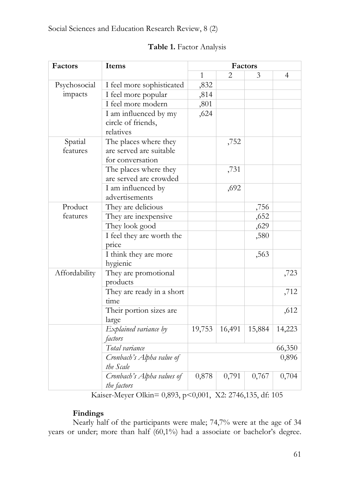|  | Table 1. Factor Analysis |  |
|--|--------------------------|--|
|--|--------------------------|--|

| Factors             | Items                                                                |              |                        | Factors |                |
|---------------------|----------------------------------------------------------------------|--------------|------------------------|---------|----------------|
|                     |                                                                      | $\mathbf{1}$ | $\mathfrak{D}_{\cdot}$ | 3       | $\overline{4}$ |
| Psychosocial        | I feel more sophisticated                                            | ,832         |                        |         |                |
| impacts             | I feel more popular                                                  | ,814         |                        |         |                |
|                     | I feel more modern                                                   | ,801         |                        |         |                |
|                     | I am influenced by my<br>circle of friends,<br>relatives             | ,624         |                        |         |                |
| Spatial<br>features | The places where they<br>are served are suitable<br>for conversation |              | ,752                   |         |                |
|                     | The places where they<br>are served are crowded                      |              | ,731                   |         |                |
|                     | I am influenced by<br>advertisements                                 |              | ,692                   |         |                |
| Product             | They are delicious                                                   |              |                        | ,756    |                |
| features            | They are inexpensive                                                 |              |                        | ,652    |                |
|                     | They look good                                                       |              |                        | ,629    |                |
|                     | I feel they are worth the<br>price                                   |              |                        | ,580    |                |
|                     | I think they are more<br>hygienic                                    |              |                        | ,563    |                |
| Affordability       | They are promotional<br>products                                     |              |                        |         | ,723           |
|                     | They are ready in a short<br>time                                    |              |                        |         | ,712           |
|                     | Their portion sizes are<br>large                                     |              |                        |         | ,612           |
|                     | Explained variance by<br>factors                                     | 19,753       | 16,491                 | 15,884  | 14,223         |
|                     | Total variance                                                       |              |                        |         | 66,350         |
|                     | Cronbach's Alpha value of<br>the Scale                               |              |                        |         | 0,896          |
|                     | Cronbach's Alpha values of<br>the factors                            | 0,878        | 0,791                  | 0,767   | 0,704          |

Kaiser-Meyer Olkin= 0,893, p<0,001, X2: 2746,135, df: 105

# **Findings**

Nearly half of the participants were male; 74,7% were at the age of 34 years or under; more than half (60,1%) had a associate or bachelor's degree.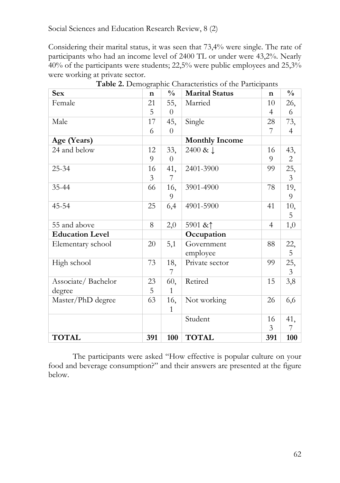Considering their marital status, it was seen that 73,4% were single. The rate of participants who had an income level of 2400 TL or under were 43,2%. Nearly 40% of the participants were students; 22,5% were public employees and 25,3% were working at private sector.

| <b>Sex</b>             | $\mathbf n$ | $\frac{0}{0}$  | <b>Marital Status</b> | $\mathbf n$    | $\frac{0}{0}$  |
|------------------------|-------------|----------------|-----------------------|----------------|----------------|
| Female                 | 21          | 55,            | Married               | 10             | 26,            |
|                        | 5           | $\theta$       |                       | 4              | 6              |
| Male                   | 17          | 45,            | Single                | 28             | 73,            |
|                        | 6           | $\overline{0}$ |                       | 7              | 4              |
| Age (Years)            |             |                | <b>Monthly Income</b> |                |                |
| 24 and below           | 12          | 33,            | 2400 & J              | 16             | 43,            |
|                        | 9           | $\overline{0}$ |                       | 9              | $\overline{2}$ |
| $25 - 34$              | 16          | 41,            | 2401-3900             | 99             | 25,            |
|                        | 3           | 7              |                       |                | $\overline{3}$ |
| 35-44                  | 66          | 16,            | 3901-4900             | 78             | 19,            |
|                        |             | 9              |                       |                | 9              |
| 45-54                  | 25          | 6,4            | 4901-5900             | 41             | 10,            |
|                        |             |                |                       |                | 5              |
| 55 and above           | 8           | 2,0            | 5901 & ↑              | $\overline{4}$ | 1,0            |
| <b>Education Level</b> |             |                | Occupation            |                |                |
| Elementary school      | 20          | 5,1            | Government            | 88             | 22,            |
|                        |             |                | employee              |                | 5              |
| High school            | 73          | 18,            | Private sector        | 99             | 25,            |
|                        |             | 7              |                       |                | $\overline{3}$ |
| Associate/Bachelor     | 23          | 60,            | Retired               | 15             | 3,8            |
| degree                 | 5           | $\mathbf{1}$   |                       |                |                |
| Master/PhD degree      | 63          | 16,            | Not working           | 26             | 6,6            |
|                        |             | 1              |                       |                |                |
|                        |             |                | Student               | 16             | 41,            |
|                        |             |                |                       | 3              | 7              |
| <b>TOTAL</b>           | 391         | 100            | <b>TOTAL</b>          | 391            | 100            |

**Table 2.** Demographic Characteristics of the Participants

The participants were asked "How effective is popular culture on your food and beverage consumption?" and their answers are presented at the figure below.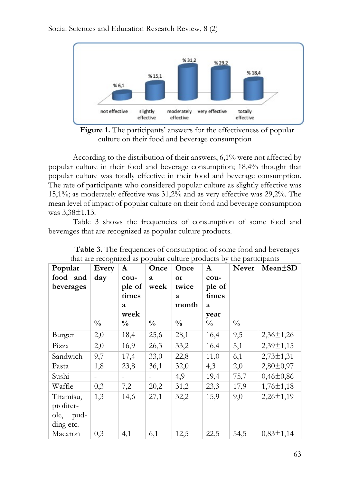

Figure 1. The participants' answers for the effectiveness of popular culture on their food and beverage consumption

According to the distribution of their answers, 6,1% were not affected by popular culture in their food and beverage consumption; 18,4% thought that popular culture was totally effective in their food and beverage consumption. The rate of participants who considered popular culture as slightly effective was 15,1%; as moderately effective was 31,2% and as very effective was 29,2%. The mean level of impact of popular culture on their food and beverage consumption was 3,38±1,13.

Table 3 shows the frequencies of consumption of some food and beverages that are recognized as popular culture products.

| Popular   | and all lever and are<br>Every | $\mathbf{A}$             | Once          | popular cancere procedure by<br>Once | $\mathbf{A}$  | Never         | paracipaires<br>Mean <sup>+</sup> SD |
|-----------|--------------------------------|--------------------------|---------------|--------------------------------------|---------------|---------------|--------------------------------------|
| food and  | day                            | cou-                     | a             | or                                   | cou-          |               |                                      |
| beverages |                                | ple of                   | week          | twice                                | ple of        |               |                                      |
|           |                                | times                    |               | a                                    | times         |               |                                      |
|           |                                | a                        |               | month                                | a             |               |                                      |
|           |                                | week                     |               |                                      | year          |               |                                      |
|           | $\frac{0}{0}$                  | $\frac{0}{0}$            | $\frac{0}{0}$ | $\frac{0}{0}$                        | $\frac{0}{0}$ | $\frac{0}{0}$ |                                      |
| Burger    | 2,0                            | 18,4                     | 25,6          | 28,1                                 | 16,4          | 9,5           | $2,36\pm1,26$                        |
| Pizza     | 2,0                            | 16,9                     | 26,3          | 33,2                                 | 16,4          | 5,1           | $2,39 \pm 1,15$                      |
| Sandwich  | 9,7                            | 17,4                     | 33,0          | 22,8                                 | 11,0          | 6,1           | $2,73 \pm 1,31$                      |
| Pasta     | 1,8                            | 23,8                     | 36,1          | 32,0                                 | 4,3           | 2,0           | $2,80 \pm 0,97$                      |
| Sushi     | $\blacksquare$                 | $\overline{\phantom{a}}$ | $\sim$        | 4,9                                  | 19,4          | 75,7          | $0,46\pm0,86$                        |
| Waffle    | 0,3                            | 7,2                      | 20,2          | 31,2                                 | 23,3          | 17,9          | $1,76 \pm 1,18$                      |
| Tiramisu, | 1,3                            | 14,6                     | 27,1          | 32,2                                 | 15,9          | 9,0           | $2,26 \pm 1,19$                      |
| profiter- |                                |                          |               |                                      |               |               |                                      |
| ole, pud- |                                |                          |               |                                      |               |               |                                      |
| ding etc. |                                |                          |               |                                      |               |               |                                      |
| Macaron   | 0,3                            | 4,1                      | 6,1           | 12,5                                 | 22,5          | 54,5          | $0,83 \pm 1,14$                      |

**Table 3.** The frequencies of consumption of some food and beverages that are recognized as popular culture products by the participants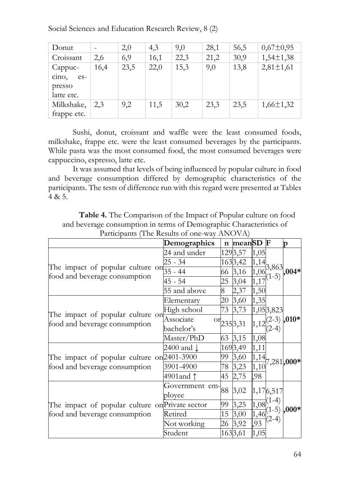| Donut               |      | 2,0  | 4,3  | 9,0  | 28,1 | 56,5 | $0,67 \pm 0,95$ |
|---------------------|------|------|------|------|------|------|-----------------|
| Croissant           | 2,6  | 6,9  | 16,1 | 22,3 | 21,2 | 30,9 | $1,54 \pm 1,38$ |
| Cappuc-             | 16,4 | 23,5 | 22,0 | 15,3 | 9,0  | 13,8 | $2,81 \pm 1,61$ |
| $\sin 0$ ,<br>$es-$ |      |      |      |      |      |      |                 |
| presso              |      |      |      |      |      |      |                 |
| latte etc.          |      |      |      |      |      |      |                 |
| Milkshake,          | 2,3  | 9,2  | 11,5 | 30,2 | 23,3 | 23,5 | $1,66 \pm 1,32$ |
| frappe etc.         |      |      |      |      |      |      |                 |

Sushi, donut, croissant and waffle were the least consumed foods, milkshake, frappe etc. were the least consumed beverages by the participants. While pasta was the most consumed food, the most consumed beverages were cappuccino, espresso, latte etc.

It was assumed that levels of being influenced by popular culture in food and beverage consumption differed by demographic characteristics of the participants. The tests of difference run with this regard were presented at Tables 4 & 5.

**Table 4.** The Comparison of the Impact of Popular culture on food and beverage consumption in terms of Demographic Characteristics of Participants (The Results of one-way ANOVA)

|                                                                   | Demographics                                 |    | n meanSD F                   |      |                | D                                     |
|-------------------------------------------------------------------|----------------------------------------------|----|------------------------------|------|----------------|---------------------------------------|
|                                                                   | 24 and under                                 |    | 1293,57                      | 1,05 |                |                                       |
|                                                                   | 25 - 34                                      |    | 1633,42                      | 1,14 | 3,863          |                                       |
| The impact of popular culture on<br>food and beverage consumption | $35 - 44$                                    | 66 | 3,16                         | 1,06 |                | $(1-5)$ $\big  004*$                  |
|                                                                   | 45 - 54                                      | 25 | 3,04                         | 1,17 |                |                                       |
|                                                                   | 55 and above                                 | 8  | 2,37                         | 1,50 |                |                                       |
|                                                                   | Elementary                                   |    | 20 3,60                      | 1,35 |                |                                       |
|                                                                   | High school                                  |    | 73 3,73                      |      | 1,053,823      |                                       |
| The impact of popular culture on<br>food and beverage consumption | Associate<br>bachelor's                      |    | $\frac{\text{or}}{235}$ 3,31 | 1,12 |                | $(2-3)$ ,010*                         |
|                                                                   | Master/PhD                                   |    | 63 3,15                      | 1,08 |                |                                       |
|                                                                   | 2400 and <b>l</b>                            |    | 1693,49                      | 1,11 |                |                                       |
| The impact of popular culture on 2401-3900                        |                                              | 99 | 3,60                         | 1,14 |                | $7,281,000*$                          |
| food and beverage consumption                                     | 3901-4900                                    |    | 78 3,23                      | 1,10 |                |                                       |
|                                                                   | 4901and 1                                    |    | 45 2,75                      | ,98  |                |                                       |
|                                                                   | Government em $\left.\right _{88}$<br>ployee |    | 3,02                         |      | 1,176,517      |                                       |
| The impact of popular culture on Private sector                   |                                              | 99 | 3,25                         |      | $1.08^{(1-4)}$ |                                       |
| food and beverage consumption                                     | Retired                                      | 15 | 3,00                         |      |                | $\frac{1}{1,46}$ (1-5) $\bigg  000^*$ |
|                                                                   | Not working                                  |    | 26 3,92                      | 93   | $(2-4)$        |                                       |
|                                                                   | Student                                      |    | 1633,61                      | 1,05 |                |                                       |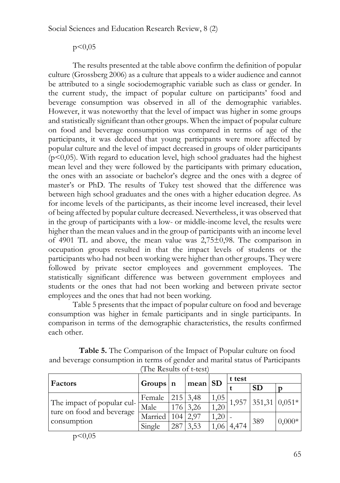# $p<0,05$

The results presented at the table above confirm the definition of popular culture (Grossberg 2006) as a culture that appeals to a wider audience and cannot be attributed to a single sociodemographic variable such as class or gender. In the current study, the impact of popular culture on participants' food and beverage consumption was observed in all of the demographic variables. However, it was noteworthy that the level of impact was higher in some groups and statistically significant than other groups. When the impact of popular culture on food and beverage consumption was compared in terms of age of the participants, it was deduced that young participants were more affected by popular culture and the level of impact decreased in groups of older participants  $(p<0,05)$ . With regard to education level, high school graduates had the highest mean level and they were followed by the participants with primary education, the ones with an associate or bachelor's degree and the ones with a degree of master's or PhD. The results of Tukey test showed that the difference was between high school graduates and the ones with a higher education degree. As for income levels of the participants, as their income level increased, their level of being affected by popular culture decreased. Nevertheless, it was observed that in the group of participants with a low- or middle-income level, the results were higher than the mean values and in the group of participants with an income level of 4901 TL and above, the mean value was 2,75±0,98. The comparison in occupation groups resulted in that the impact levels of students or the participants who had not been working were higher than other groups. They were followed by private sector employees and government employees. The statistically significant difference was between government employees and students or the ones that had not been working and between private sector employees and the ones that had not been working.

Table 5 presents that the impact of popular culture on food and beverage consumption was higher in female participants and in single participants. In comparison in terms of the demographic characteristics, the results confirmed each other.

| <b>Table 5.</b> The Comparison of the Impact of Popular culture on food        |
|--------------------------------------------------------------------------------|
| and beverage consumption in terms of gender and marital status of Participants |
| (The Results of t-test)                                                        |

| Factors                                                 | Groups n |                  | $\frac{1}{2}$ mean $\frac{1}{2}$ |      | t test |                         |          |  |
|---------------------------------------------------------|----------|------------------|----------------------------------|------|--------|-------------------------|----------|--|
|                                                         |          |                  |                                  |      |        | <b>SD</b>               |          |  |
|                                                         | Female   |                  | $215 \mid 3,48$                  | 1,05 |        | $ 1,957 351,31 0,051* $ |          |  |
| The impact of popular cul-<br>ture on food and beverage | Male     |                  | $176 \mid 3,26$                  | 1,20 |        |                         |          |  |
| consumption                                             | Married  | 104 <sup>1</sup> | 2.97                             | 1,20 |        | 389                     |          |  |
|                                                         | Single   | 287              | 3,53                             | 1.06 | 4,474  |                         | $0,000*$ |  |

p<0,05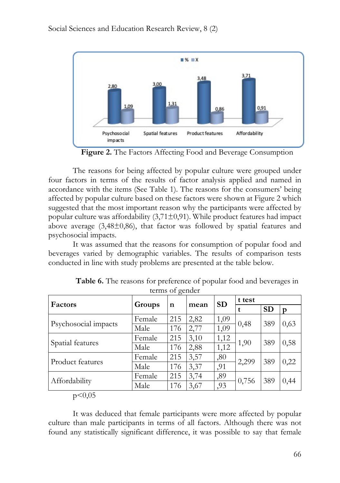

**Figure 2.** The Factors Affecting Food and Beverage Consumption

The reasons for being affected by popular culture were grouped under four factors in terms of the results of factor analysis applied and named in accordance with the items (See Table 1). The reasons for the consumers' being affected by popular culture based on these factors were shown at Figure 2 which suggested that the most important reason why the participants were affected by popular culture was affordability  $(3,71\pm0,91)$ . While product features had impact above average  $(3,48\pm0,86)$ , that factor was followed by spatial features and psychosocial impacts.

It was assumed that the reasons for consumption of popular food and beverages varied by demographic variables. The results of comparison tests conducted in line with study problems are presented at the table below.

| Factors              | Groups |             | mean | <b>SD</b> | t test |           |      |
|----------------------|--------|-------------|------|-----------|--------|-----------|------|
|                      |        | $\mathbf n$ |      |           | t      | <b>SD</b> | p    |
| Psychosocial impacts | Female | 215         | 2,82 | 1,09      | 0,48   | 389       | 0,63 |
|                      | Male   | 176         | 2,77 | 1,09      |        |           |      |
|                      | Female | 215         | 3,10 | 1,12      | 1,90   | 389       | 0,58 |
| Spatial features     | Male   | 176         | 2,88 | 1,12      |        |           |      |
| Product features     | Female | 215         | 3,57 | ,80       | 2,299  | 389       | 0,22 |
|                      | Male   | 176         | 3,37 | ,91       |        |           |      |
| Affordability        | Female | 215         | 3,74 | ,89       | 0,756  | 389       |      |
|                      | Male   | 176         | 3,67 | ,93       |        |           | 0,44 |

**Table 6.** The reasons for preference of popular food and beverages in terms of gender

 $p<0,05$ 

It was deduced that female participants were more affected by popular culture than male participants in terms of all factors. Although there was not found any statistically significant difference, it was possible to say that female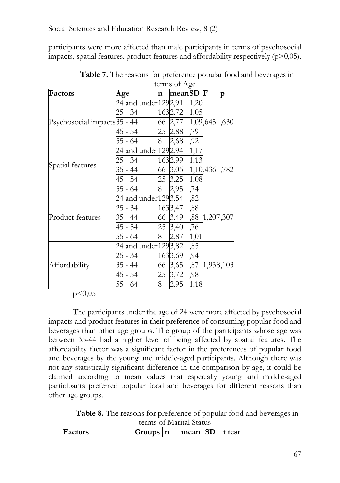participants were more affected than male participants in terms of psychosocial impacts, spatial features, product features and affordability respectively  $(p>0,05)$ .

| Factors                      | Age                   | n        | meanSD F |      |           | p    |
|------------------------------|-----------------------|----------|----------|------|-----------|------|
|                              | 24 and under 129 2,91 |          |          | 1,20 |           |      |
|                              | 25 - 34               |          | 1632,72  | 1,05 |           |      |
| Psychosocial impacts 35 - 44 |                       |          | 66 2,77  |      | 1,09,645  | ,630 |
|                              | 45 - 54               |          | 25 2,88  | ,79  |           |      |
|                              | $55 - 64$             | 8        | 2,68     | ,92  |           |      |
|                              | 24 and under 129 2,94 |          |          | 1,17 |           |      |
|                              | 25 - 34               |          | 1632,99  | 1,13 |           |      |
| Spatial features             | 35 - 44               |          | 66 3,05  |      | 1,10,436  | ,782 |
|                              | 45 - 54               |          | 25 3,25  | 1,08 |           |      |
|                              | 55 - 64               | 8        | 2,95     | ,74  |           |      |
|                              | 24 and under 1293,54  |          |          | ,82  |           |      |
|                              | 25 - 34               |          | 1633,47  | ,88  |           |      |
| Product features             | 35 - 44               |          | 66 3,49  | ,88  | 1,207,307 |      |
|                              | 45 - 54               |          | 25 3,40  | ,76  |           |      |
|                              | $55 - 64$             | $\bf{8}$ | 2,87     | 1,01 |           |      |
|                              | 24 and under 1293,82  |          |          | ,85  |           |      |
|                              | 25 - 34               |          | 1633,69  | ,94  |           |      |
| Affordability                | 35 - 44               |          | 66 3,65  | ,87  | 1,938,103 |      |
|                              | 45 - 54               | 25       | 3,72     | ,98  |           |      |
|                              | 55 - 64               | 8        | 2,95     | 1,18 |           |      |

**Table 7.** The reasons for preference popular food and beverages in terms of Age

## $p<0,05$

The participants under the age of 24 were more affected by psychosocial impacts and product features in their preference of consuming popular food and beverages than other age groups. The group of the participants whose age was between 35-44 had a higher level of being affected by spatial features. The affordability factor was a significant factor in the preferences of popular food and beverages by the young and middle-aged participants. Although there was not any statistically significant difference in the comparison by age, it could be claimed according to mean values that especially young and middle-aged participants preferred popular food and beverages for different reasons than other age groups.

**Table 8.** The reasons for preference of popular food and beverages in terms of Marital Status

| $\alpha$       |          |  |                                |  |         |  |  |
|----------------|----------|--|--------------------------------|--|---------|--|--|
| <b>Factors</b> | Groups n |  | $\lceil \text{mean} \rceil$ SD |  | It test |  |  |
|                |          |  |                                |  |         |  |  |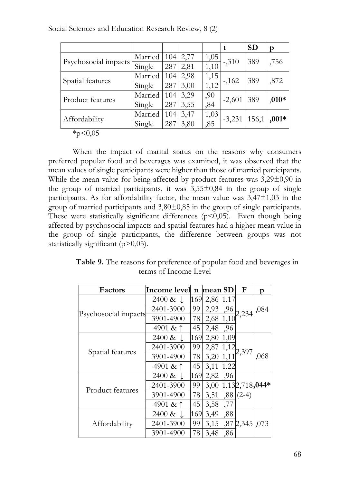|                                           |         |     |      |      |          | <b>SD</b> | p       |
|-------------------------------------------|---------|-----|------|------|----------|-----------|---------|
|                                           | Married | 104 | 2,77 | 1,05 |          | 389       | ,756    |
| Psychosocial impacts                      | Single  | 287 | 2,81 | 1,10 | $-310$   |           |         |
|                                           | Married | 104 | 2,98 | 1,15 | $-162$   | 389       | ,872    |
| Spatial features                          | Single  | 287 | 3,00 | 1,12 |          |           |         |
| Product features                          | Married | 104 | 3,29 | ,90  | $-2,601$ |           | $,010*$ |
|                                           | Single  | 287 | 3,55 | ,84  |          | 389       |         |
| Affordability                             | Married | 104 | 3,47 | 1,03 | $-3,231$ | 156,1     | $,001*$ |
|                                           | Single  | 287 | 3,80 | ,85  |          |           |         |
| $\sim$ $\sim$ $\sim$ $\sim$ $\sim$ $\sim$ |         |     |      |      |          |           |         |

Social Sciences and Education Research Review, 8 (2)

 $*p<0,05$ 

When the impact of marital status on the reasons why consumers preferred popular food and beverages was examined, it was observed that the mean values of single participants were higher than those of married participants. While the mean value for being affected by product features was  $3,29\pm0,90$  in the group of married participants, it was  $3,55\pm0.84$  in the group of single participants. As for affordability factor, the mean value was  $3,47\pm1,03$  in the group of married participants and 3,80±0,85 in the group of single participants. These were statistically significant differences  $(p<0,05)$ . Even though being affected by psychosocial impacts and spatial features had a higher mean value in the group of single participants, the difference between groups was not statistically significant (p>0,05).

| <b>Table 9.</b> The reasons for preference of popular food and beverages in |  |
|-----------------------------------------------------------------------------|--|
| terms of Income Level                                                       |  |

| Factors              | <b>Income</b> level  | $\mathbf n$ | mean SD |      | F                | p    |
|----------------------|----------------------|-------------|---------|------|------------------|------|
| Psychosocial impacts | $2400 \& \downarrow$ | 169         | 2,86    | 1,17 |                  |      |
|                      | 2401-3900            | 99          | 2,93    | ,96  | 2,234            | ,084 |
|                      | 3901-4900            | 78          | 2,68    | 1,10 |                  |      |
|                      | 4901 & 1             | 45          | 2,48    | ,96  |                  |      |
| Spatial features     | $2400 \& \downarrow$ | 169         | 2,80    | 1,09 |                  |      |
|                      | 2401-3900            | 99          | 2,87    | 1,12 |                  |      |
|                      | 3901-4900            | 78          | 3,20    | 1,11 | 2,397            | ,068 |
|                      | 4901 & ↑             | 45          | 3,11    | 1,22 |                  |      |
| Product features     | $2400 \& \downarrow$ | 169         | 2,82    | ,96  |                  |      |
|                      | 2401-3900            | 99          | 3,00    |      | $1,132,718,044*$ |      |
|                      | 3901-4900            | 78          | 3,51    | ,88  | $(2-4)$          |      |
|                      | 4901 & ↑             | 45          | 3,58    | ,77  |                  |      |
| Affordability        | $2400 \& \downarrow$ | 169         | 3,49    | ,88  |                  |      |
|                      | 2401-3900            | 99          | 3,15    |      | ,87 2,345, 073   |      |
|                      | 3901-4900            | 78          | 3,48    | ,86  |                  |      |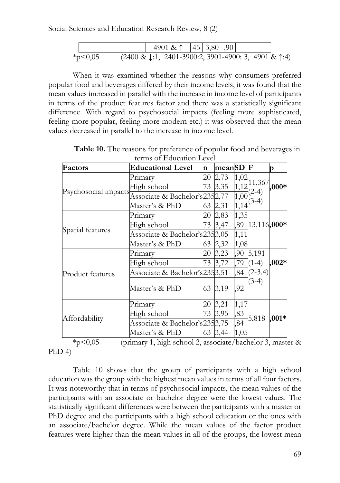

When it was examined whether the reasons why consumers preferred popular food and beverages differed by their income levels, it was found that the mean values increased in parallel with the increase in income level of participants in terms of the product features factor and there was a statistically significant difference. With regard to psychosocial impacts (feeling more sophisticated, feeling more popular, feeling more modern etc.) it was observed that the mean values decreased in parallel to the increase in income level.

| Factors              | <b>Educational Level</b>        | 'n  | meanSD  |      | F                  | D       |
|----------------------|---------------------------------|-----|---------|------|--------------------|---------|
| Psychosocial impacts | Primary                         | 20  | 2,73    | 1,02 |                    |         |
|                      | High school                     | 73  | 3,35    | 1,12 | 11,367             | $,000*$ |
|                      | Associate & Bachelor's 2352,77  |     |         | 1,00 | $(2-4)$<br>$(3-4)$ |         |
|                      | Master's & PhD                  | 63  | 2,31    | 1,14 |                    |         |
| Spatial features     | Primary                         | 20  | 2,83    | 1,35 |                    |         |
|                      | High school                     | 73  | 3,47    | ,89  | 13,116,000*        |         |
|                      | Associate & Bachelor's 235 3,05 |     |         | 1,11 |                    |         |
|                      | Master's & PhD                  | 63  | 2,32    | 1,08 |                    |         |
| Product features     | Primary                         | 20. | 3,23    | ,90  | 5,191              |         |
|                      | High school                     | 73  | 3,72    | ,79  | $(1-4)$            | $,002*$ |
|                      | Associate & Bachelor's 235 3,51 |     |         | ,84  | $(2-3.4)$          |         |
|                      | Master's & PhD                  | 63  | 3,19    | ,92  | $(3-4)$            |         |
| Affordability        | Primary                         | 20  | 3,21    | 1,17 |                    |         |
|                      | High school                     | 73  | 3,95    | ,83  | 5,818              | $,001*$ |
|                      | Associate & Bachelor's 235 3,75 |     |         | ,84  |                    |         |
|                      | Master's & PhD                  |     | 63 3,44 | 1,05 |                    |         |

**Table 10.** The reasons for preference of popular food and beverages in terms of Education Level

\*p<0,05 (primary 1, high school 2, associate/bachelor 3, master &  $PhD$  4)

Table 10 shows that the group of participants with a high school education was the group with the highest mean values in terms of all four factors. It was noteworthy that in terms of psychosocial impacts, the mean values of the participants with an associate or bachelor degree were the lowest values. The statistically significant differences were between the participants with a master or PhD degree and the participants with a high school education or the ones with an associate/bachelor degree. While the mean values of the factor product features were higher than the mean values in all of the groups, the lowest mean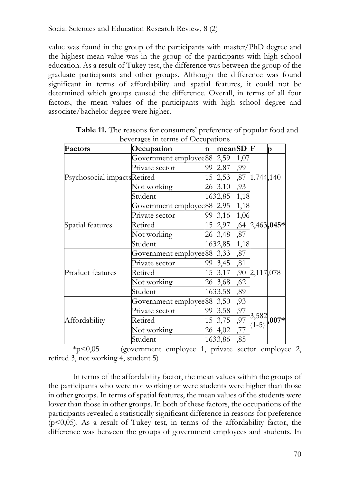value was found in the group of the participants with master/PhD degree and the highest mean value was in the group of the participants with high school education. As a result of Tukey test, the difference was between the group of the graduate participants and other groups. Although the difference was found significant in terms of affordability and spatial features, it could not be determined which groups caused the difference. Overall, in terms of all four factors, the mean values of the participants with high school degree and associate/bachelor degree were higher.

| Factors                     | Occupation                  | n  | meanSD  |      | $\mathbf F$        | p              |
|-----------------------------|-----------------------------|----|---------|------|--------------------|----------------|
| Psychosocial impactsRetired | Government employee88       |    | 2,59    | 1,07 |                    |                |
|                             | Private sector              | 99 | 2,87    | ,99  |                    |                |
|                             |                             | 15 | 2,53    | ,87  | 1,744,140          |                |
|                             | Not working                 | 26 | 3,10    | ,93  |                    |                |
|                             | Student                     |    | 1632,85 | 1,18 |                    |                |
|                             | Government employee 88 2,95 |    |         | 1,18 |                    |                |
|                             | Private sector              | 99 | 3,16    | 1,06 |                    |                |
| Spatial features            | Retired                     | 15 | 2,97    |      |                    | ,64 2,463,045* |
|                             | Not working                 |    | 26 3,48 | ,87  |                    |                |
|                             | Student                     |    | 1632,85 | 1,18 |                    |                |
|                             | Government employee88       |    | 3,33    | ,87  |                    |                |
|                             | Private sector              | 99 | 3,45    | ,81  |                    |                |
| Product features            | Retired                     | 15 | 3,17    | ,90  | 2,117,078          |                |
|                             | Not working                 |    | 26 3,68 | ,62  |                    |                |
|                             | Student                     |    | 1633,58 | ,89  |                    |                |
| Affordability               | Government employee88       |    | 3,50    | ,93  |                    |                |
|                             | Private sector              | 99 | 3,58    | ,97  |                    |                |
|                             | Retired                     | 15 | 3,75    | ,97  | $3,582$<br>$(1-5)$ | $,007*$        |
|                             | Not working                 |    | 26 4,02 | ,77  |                    |                |
|                             | Student                     |    | 1633,86 | ,85  |                    |                |

**Table 11.** The reasons for consumers' preference of popular food and beverages in terms of Occupations

 $*$ p<0,05 (government employee 1, private sector employee 2, retired 3, not working 4, student 5)

In terms of the affordability factor, the mean values within the groups of the participants who were not working or were students were higher than those in other groups. In terms of spatial features, the mean values of the students were lower than those in other groups. In both of these factors, the occupations of the participants revealed a statistically significant difference in reasons for preference  $(p<0,05)$ . As a result of Tukey test, in terms of the affordability factor, the difference was between the groups of government employees and students. In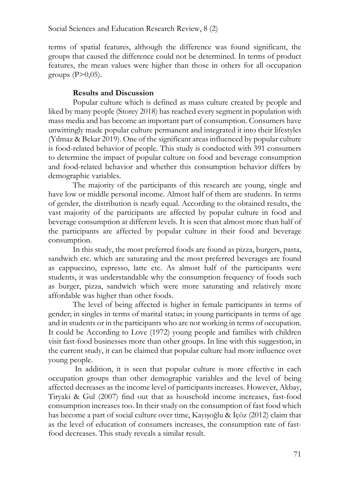terms of spatial features, although the difference was found significant, the groups that caused the difference could not be determined. In terms of product features, the mean values were higher than those in others for all occupation groups  $(P>0.05)$ .

## **Results and Discussion**

Popular culture which is defined as mass culture created by people and liked by many people (Storey 2018) has reached every segment in population with mass media and has become an important part of consumption. Consumers have unwittingly made popular culture permanent and integrated it into their lifestyles (Yılmaz & Bekar 2019). One of the significant areas influenced by popular culture is food-related behavior of people. This study is conducted with 391 consumers to determine the impact of popular culture on food and beverage consumption and food-related behavior and whether this consumption behavior differs by demographic variables.

The majority of the participants of this research are young, single and have low or middle personal income. Almost half of them are students. In terms of gender, the distribution is nearly equal. According to the obtained results, the vast majority of the participants are affected by popular culture in food and beverage consumption at different levels. It is seen that almost more than half of the participants are affected by popular culture in their food and beverage consumption.

In this study, the most preferred foods are found as pizza, burgers, pasta, sandwich etc. which are saturating and the most preferred beverages are found as cappuccino, espresso, latte etc. As almost half of the participants were students, it was understandable why the consumption frequency of foods such as burger, pizza, sandwich which were more saturating and relatively more affordable was higher than other foods.

The level of being affected is higher in female participants in terms of gender; in singles in terms of marital status; in young participants in terms of age and in students or in the participants who are not working in terms of occupation. It could be According to Love (1972) young people and families with children visit fast-food businesses more than other groups. In line with this suggestion, in the current study, it can be claimed that popular culture had more influence over young people.

In addition, it is seen that popular culture is more effective in each occupation groups than other demographic variables and the level of being affected decreases as the income level of participants increases. However, Akbay, Tiryaki & Gul (2007) find out that as household income increases, fast-food consumption increases too. In their study on the consumption of fast food which has become a part of social culture over time, Kayışoğlu & İçöz (2012) claim that as the level of education of consumers increases, the consumption rate of fastfood decreases. This study reveals a similar result.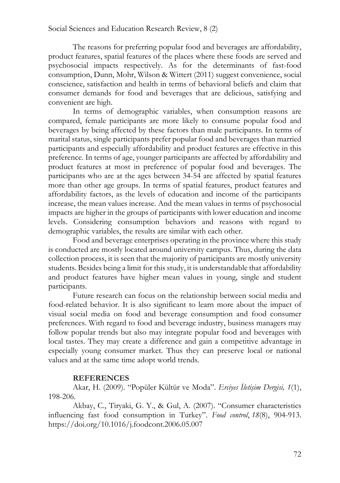The reasons for preferring popular food and beverages are affordability, product features, spatial features of the places where these foods are served and psychosocial impacts respectively. As for the determinants of fast-food consumption, Dunn, Mohr, Wilson & Wittert (2011) suggest convenience, social conscience, satisfaction and health in terms of behavioral beliefs and claim that consumer demands for food and beverages that are delicious, satisfying and convenient are high.

In terms of demographic variables, when consumption reasons are compared, female participants are more likely to consume popular food and beverages by being affected by these factors than male participants. In terms of marital status, single participants prefer popular food and beverages than married participants and especially affordability and product features are effective in this preference. In terms of age, younger participants are affected by affordability and product features at most in preference of popular food and beverages. The participants who are at the ages between 34-54 are affected by spatial features more than other age groups. In terms of spatial features, product features and affordability factors, as the levels of education and income of the participants increase, the mean values increase. And the mean values in terms of psychosocial impacts are higher in the groups of participants with lower education and income levels. Considering consumption behaviors and reasons with regard to demographic variables, the results are similar with each other.

Food and beverage enterprises operating in the province where this study is conducted are mostly located around university campus. Thus, during the data collection process, it is seen that the majority of participants are mostly university students. Besides being a limit for this study, it is understandable that affordability and product features have higher mean values in young, single and student participants.

Future research can focus on the relationship between social media and food-related behavior. It is also significant to learn more about the impact of visual social media on food and beverage consumption and food consumer preferences. With regard to food and beverage industry, business managers may follow popular trends but also may integrate popular food and beverages with local tastes. They may create a difference and gain a competitive advantage in especially young consumer market. Thus they can preserve local or national values and at the same time adopt world trends.

### **REFERENCES**

Akar, H. (2009). "Popüler Kültür ve Moda". *Erciyes İletişim Dergisi, 1*(1), 198-206.

Akbay, C., Tiryaki, G. Y., & Gul, A. (2007). "Consumer characteristics influencing fast food consumption in Turkey". *Food control*, *18*(8), 904-913. https://doi.org/10.1016/j.foodcont.2006.05.007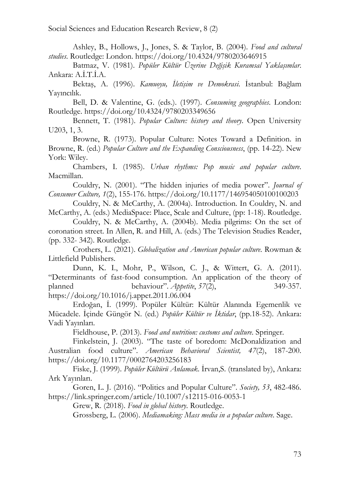Ashley, B., Hollows, J., Jones, S. & Taylor, B. (2004). *Food and cultural studies*. Routledge: London. https://doi.org/10.4324/9780203646915

Batmaz, V. (1981). *Popüler Kültür Üzerine Değişik Kuramsal Yaklaşımlar*. Ankara: A.İ.T.İ.A.

Bektaş, A. (1996). *Kamuoyu, İletişim ve Demokrasi*. İstanbul: Bağlam Yayıncılık.

Bell, D. & Valentine, G. (eds.). (1997). *Consuming geographies*. London: Routledge. https://doi.org/10.4324/9780203349656

Bennett, T. (1981). *Popular Culture: history and theory*. Open University U203, 1, 3.

Browne, R. (1973). Popular Culture: Notes Toward a Definition. in Browne, R. (ed.) *Popular Culture and the Expanding Consciousness*, (pp. 14-22). New York: Wiley.

Chambers, I. (1985). *Urban rhythms: Pop music and popular culture*. Macmillan.

Couldry, N. (2001). "The hidden injuries of media power". *Journal of Consumer Culture, 1*(2), 155-176. https://doi.org/10.1177/146954050100100203

Couldry, N. & McCarthy, A. (2004a). Introduction. In Couldry, N. and McCarthy, A. (eds.) MediaSpace: Place, Scale and Culture, (pp: 1-18). Routledge.

Couldry, N. & McCarthy, A. (2004b). Media pilgrims: On the set of coronation street. In Allen, R. and Hill, A. (eds.) The Television Studies Reader, (pp. 332- 342). Routledge.

Crothers, L. (2021). *Globalization and American popular culture*. Rowman & Littlefield Publishers.

Dunn, K. I., Mohr, P., Wilson, C. J., & Wittert, G. A. (2011). "Determinants of fast-food consumption. An application of the theory of planned behaviour". *Appetite*, *57*(2), 349-357. https://doi.org/10.1016/j.appet.2011.06.004

Erdoğan, İ. (1999). Popüler Kültür: Kültür Alanında Egemenlik ve Mücadele. İçinde Güngör N. (ed.) *Popüler Kültür ve İktidar*, (pp.18-52). Ankara: Vadi Yayınları.

Fieldhouse, P. (2013). *Food and nutrition: customs and culture*. Springer.

Finkelstein, J. (2003). "The taste of boredom: McDonaldization and Australian food culture". *American Behavioral Scientist, 47*(2), 187-200. https://doi.org/10.1177/0002764203256183

Fiske, J. (1999). *Popüler Kültürü Anlamak*. İrvan,S. (translated by), Ankara: Ark Yayınları.

Goren, L. J. (2016). "Politics and Popular Culture". *Society, 53*, 482-486. https://link.springer.com/article/10.1007/s12115-016-0053-1

Grew, R. (2018). *Food in global history*. Routledge.

Grossberg, L. (2006). *Mediamaking: Mass media in a popular culture*. Sage.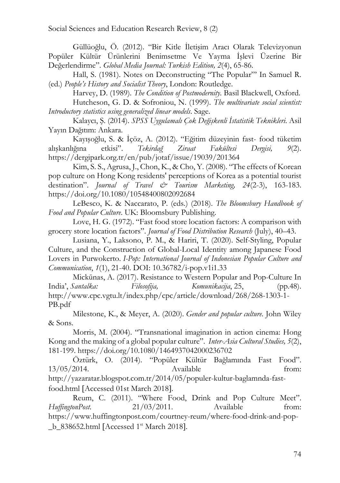Güllüoğlu, Ö. (2012). "Bir Kitle İletişim Aracı Olarak Televizyonun Popüler Kültür Ürünlerini Benimsetme Ve Yayma İşlevi Üzerine Bir Değerlendirme". *Global Media Journal: Turkish Edition, 2*(4), 65-86.

Hall, S. (1981). Notes on Deconstructing "The Popular"' In Samuel R. (ed.) *People's History and Socialist Theory*, London: Routledge.

Harvey, D. (1989). *The Condition of Postmodernity*. Basil Blackwell, Oxford. Hutcheson, G. D. & Sofroniou, N. (1999). *The multivariate social scientist: Introductory statistics using generalized linear models*. Sage.

Kalaycı, Ş. (2014). *SPSS Uygulamalı Çok Değişkenli İstatistik Teknikleri*. Asil Yayın Dağıtım: Ankara.

Kayışoğlu, S. & İçöz, A. (2012). "Eğitim düzeyinin fast- food tüketim alışkanlığına etkisi". *Tekirdağ Ziraat Fakültesi Dergisi, 9*(2). https://dergipark.org.tr/en/pub/jotaf/issue/19039/201364

Kim, S. S., Agrusa, J., Chon, K., & Cho, Y. (2008). "The effects of Korean pop culture on Hong Kong residents' perceptions of Korea as a potential tourist destination". *Journal of Travel & Tourism Marketing, 24*(2-3), 163-183. https://doi.org/10.1080/10548400802092684

LeBesco, K. & Naccarato, P. (eds.) (2018). *The Bloomsbury Handbook of Food and Popular Culture*. UK: Bloomsbury Publishing.

Love, H. G. (1972). "Fast food store location factors: A comparison with grocery store location factors". *Journal of Food Distribution Research* (July), 40–43.

Lusiana, Y., Laksono, P. M., & Hariri, T. (2020). Self-Styling, Popular Culture, and the Construction of Global-Local Identity among Japanese Food Lovers in Purwokerto. *I-Pop: International Journal of Indonesian Popular Culture and Communication*, *1*(1), 21-40. DOI: 10.36782/i-pop.v1i1.33

Mickūnas, A. (2017). Resistance to Western Popular and Pop-Culture In India', *Santalka: Filosofija, Komunikacija*, 25, (pp.48). http://www.cpc.vgtu.lt/index.php/cpc/article/download/268/268-1303-1- PB.pdf

Milestone, K., & Meyer, A. (2020). *Gender and popular culture*. John Wiley & Sons.

Morris, M. (2004). "Transnational imagination in action cinema: Hong Kong and the making of a global popular culture". *Inter-Asia Cultural Studies, 5*(2), 181-199. https://doi.org/10.1080/1464937042000236702

Öztürk, O. (2014). "Popüler Kültür Bağlamında Fast Food". 13/05/2014. Available from: http://yazaratar.blogspot.com.tr/2014/05/populer-kultur-baglamnda-fastfood.html [Accessed 01st March 2018].

Reum, C. (2011). "Where Food, Drink and Pop Culture Meet". *HuffingtonPost.* 21/03/2011. Available from: https://www.huffingtonpost.com/courtney-reum/where-food-drink-and-pop b  $838652.html$  [Accessed 1<sup>st</sup> March 2018].